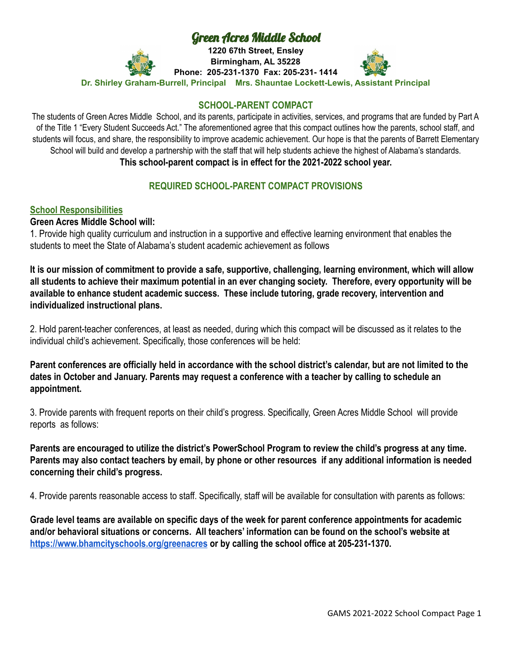# Green Acres Middle School

**1220 67th Street, Ensley Birmingham, AL 35228 Phone: 205-231-1370 Fax: 205-231- 1414**



**Dr. Shirley Graham-Burrell, Principal Mrs. Shauntae Lockett-Lewis, Assistant Principal**

## **SCHOOL-PARENT COMPACT**

The students of Green Acres Middle School, and its parents, participate in activities, services, and programs that are funded by Part A of the Title 1 "Every Student Succeeds Act." The aforementioned agree that this compact outlines how the parents, school staff, and students will focus, and share, the responsibility to improve academic achievement. Our hope is that the parents of Barrett Elementary School will build and develop a partnership with the staff that will help students achieve the highest of Alabama's standards. **This school-parent compact is in effect for the 2021-2022 school year.**

# **REQUIRED SCHOOL-PARENT COMPACT PROVISIONS**

## **School Responsibilities**

#### **Green Acres Middle School will:**

1. Provide high quality curriculum and instruction in a supportive and effective learning environment that enables the students to meet the State of Alabama's student academic achievement as follows

**It is our mission of commitment to provide a safe, supportive, challenging, learning environment, which will allow all students to achieve their maximum potential in an ever changing society. Therefore, every opportunity will be available to enhance student academic success. These include tutoring, grade recovery, intervention and individualized instructional plans.**

2. Hold parent-teacher conferences, at least as needed, during which this compact will be discussed as it relates to the individual child's achievement. Specifically, those conferences will be held:

**Parent conferences are officially held in accordance with the school district's calendar, but are not limited to the dates in October and January. Parents may request a conference with a teacher by calling to schedule an appointment.**

3. Provide parents with frequent reports on their child's progress. Specifically, Green Acres Middle School will provide reports as follows:

**Parents are encouraged to utilize the district's PowerSchool Program to review the child's progress at any time. Parents may also contact teachers by email, by phone or other resources if any additional information is needed concerning their child's progress.**

4. Provide parents reasonable access to staff. Specifically, staff will be available for consultation with parents as follows:

**Grade level teams are available on specific days of the week for parent conference appointments for academic and/or behavioral situations or concerns. All teachers' information can be found on the school's website at <https://www.bhamcityschools.org/greenacres> or by calling the school office at 205-231-1370.**